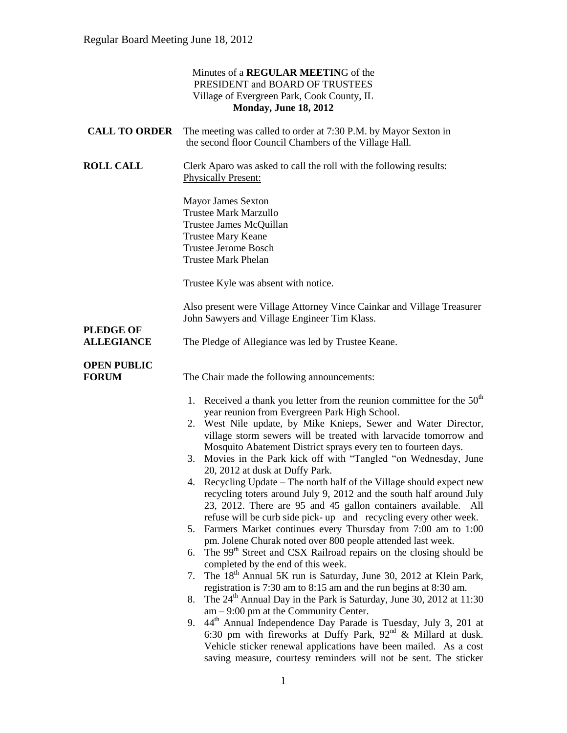|                                       | Minutes of a REGULAR MEETING of the<br>PRESIDENT and BOARD OF TRUSTEES<br>Village of Evergreen Park, Cook County, IL<br><b>Monday, June 18, 2012</b>                                                                                                                                                        |  |
|---------------------------------------|-------------------------------------------------------------------------------------------------------------------------------------------------------------------------------------------------------------------------------------------------------------------------------------------------------------|--|
| <b>CALL TO ORDER</b>                  | The meeting was called to order at 7:30 P.M. by Mayor Sexton in<br>the second floor Council Chambers of the Village Hall.                                                                                                                                                                                   |  |
| <b>ROLL CALL</b>                      | Clerk Aparo was asked to call the roll with the following results:<br><b>Physically Present:</b>                                                                                                                                                                                                            |  |
|                                       | <b>Mayor James Sexton</b><br><b>Trustee Mark Marzullo</b><br>Trustee James McQuillan<br><b>Trustee Mary Keane</b><br><b>Trustee Jerome Bosch</b><br><b>Trustee Mark Phelan</b>                                                                                                                              |  |
|                                       | Trustee Kyle was absent with notice.                                                                                                                                                                                                                                                                        |  |
|                                       | Also present were Village Attorney Vince Cainkar and Village Treasurer<br>John Sawyers and Village Engineer Tim Klass.                                                                                                                                                                                      |  |
| <b>PLEDGE OF</b><br><b>ALLEGIANCE</b> | The Pledge of Allegiance was led by Trustee Keane.                                                                                                                                                                                                                                                          |  |
| <b>OPEN PUBLIC</b><br><b>FORUM</b>    | The Chair made the following announcements:<br>1. Received a thank you letter from the reunion committee for the $50th$<br>year reunion from Evergreen Park High School.                                                                                                                                    |  |
|                                       | 2. West Nile update, by Mike Knieps, Sewer and Water Director,<br>village storm sewers will be treated with larvacide tomorrow and<br>Mosquito Abatement District sprays every ten to fourteen days.<br>3. Movies in the Park kick off with "Tangled "on Wednesday, June<br>20, 2012 at dusk at Duffy Park. |  |
|                                       | Recycling Update - The north half of the Village should expect new<br>recycling toters around July 9, 2012 and the south half around July<br>23, 2012. There are 95 and 45 gallon containers available.<br>All<br>refuse will be curb side pick- up and recycling every other week.                         |  |
|                                       | 5. Farmers Market continues every Thursday from 7:00 am to 1:00<br>pm. Jolene Churak noted over 800 people attended last week.                                                                                                                                                                              |  |
|                                       | The 99 <sup>th</sup> Street and CSX Railroad repairs on the closing should be<br>6.<br>completed by the end of this week.                                                                                                                                                                                   |  |
|                                       | The 18 <sup>th</sup> Annual 5K run is Saturday, June 30, 2012 at Klein Park,<br>7.<br>registration is 7:30 am to 8:15 am and the run begins at 8:30 am.                                                                                                                                                     |  |
|                                       | The $24^{\text{th}}$ Annual Day in the Park is Saturday, June 30, 2012 at 11:30<br>8.<br>$am - 9:00$ pm at the Community Center.                                                                                                                                                                            |  |
|                                       | 44 <sup>th</sup> Annual Independence Day Parade is Tuesday, July 3, 201 at<br>9.<br>6:30 pm with fireworks at Duffy Park, $92nd$ & Millard at dusk.<br>Vehicle sticker renewal applications have been mailed. As a cost<br>saving measure, courtesy reminders will not be sent. The sticker                 |  |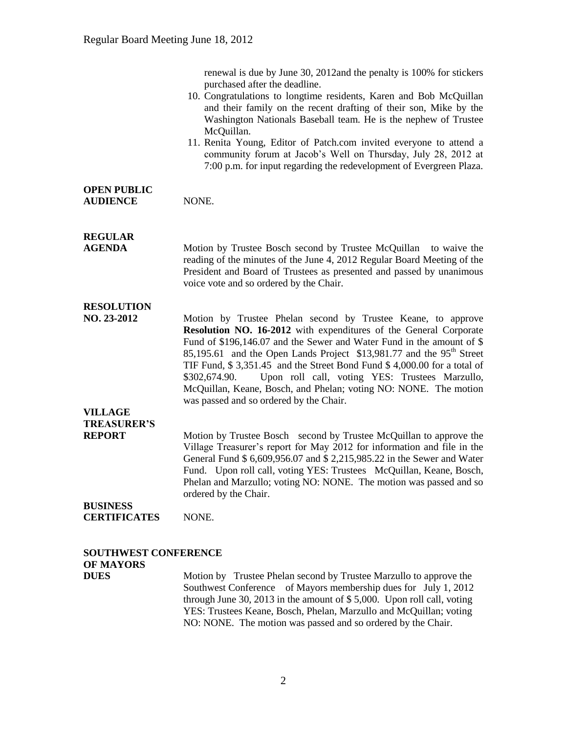renewal is due by June 30, 2012and the penalty is 100% for stickers purchased after the deadline.

- 10. Congratulations to longtime residents, Karen and Bob McQuillan and their family on the recent drafting of their son, Mike by the Washington Nationals Baseball team. He is the nephew of Trustee McQuillan.
- 11. Renita Young, Editor of Patch.com invited everyone to attend a community forum at Jacob's Well on Thursday, July 28, 2012 at 7:00 p.m. for input regarding the redevelopment of Evergreen Plaza.

#### **OPEN PUBLIC** AUDIENCE NONE.

## **REGULAR**

**AGENDA Motion by Trustee Bosch second by Trustee McQuillan** to waive the reading of the minutes of the June 4, 2012 Regular Board Meeting of the President and Board of Trustees as presented and passed by unanimous voice vote and so ordered by the Chair.

### **RESOLUTION**

**NO. 23-2012** Motion by Trustee Phelan second by Trustee Keane, to approve **Resolution NO. 16-2012** with expenditures of the General Corporate Fund of \$196,146.07 and the Sewer and Water Fund in the amount of \$ 85,195.61 and the Open Lands Project  $$13,981.77$  and the 95<sup>th</sup> Street TIF Fund, \$ 3,351.45 and the Street Bond Fund \$ 4,000.00 for a total of \$302,674.90. Upon roll call, voting YES: Trustees Marzullo, McQuillan, Keane, Bosch, and Phelan; voting NO: NONE. The motion was passed and so ordered by the Chair.

#### **VILLAGE TREASURER'S**

**REPORT** Motion by Trustee Bosch second by Trustee McQuillan to approve the Village Treasurer's report for May 2012 for information and file in the General Fund \$ 6,609,956.07 and \$ 2,215,985.22 in the Sewer and Water Fund. Upon roll call, voting YES: Trustees McQuillan, Keane, Bosch, Phelan and Marzullo; voting NO: NONE. The motion was passed and so ordered by the Chair.

#### **BUSINESS CERTIFICATES** NONE.

## **SOUTHWEST CONFERENCE OF MAYORS**

**DUES** Motion by Trustee Phelan second by Trustee Marzullo to approve the Southwest Conference of Mayors membership dues for July 1, 2012 through June 30, 2013 in the amount of \$ 5,000. Upon roll call, voting YES: Trustees Keane, Bosch, Phelan, Marzullo and McQuillan; voting NO: NONE. The motion was passed and so ordered by the Chair.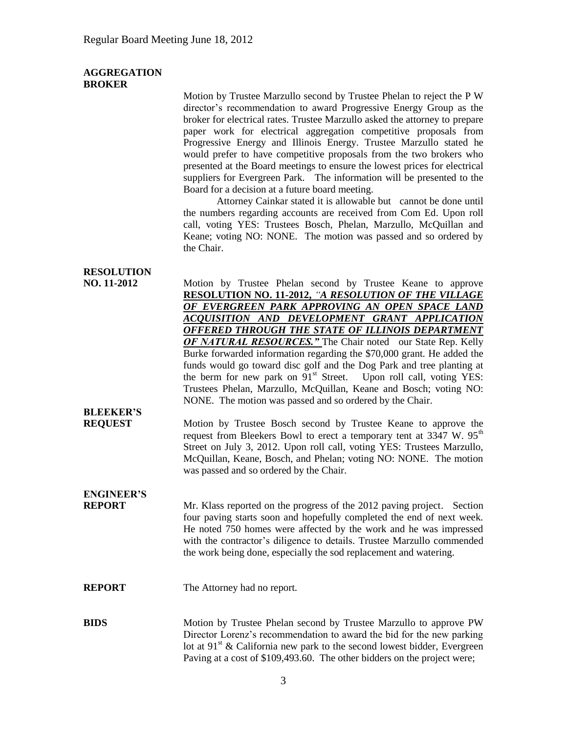#### **AGGREGATION BROKER**

Motion by Trustee Marzullo second by Trustee Phelan to reject the P W director's recommendation to award Progressive Energy Group as the broker for electrical rates. Trustee Marzullo asked the attorney to prepare paper work for electrical aggregation competitive proposals from Progressive Energy and Illinois Energy. Trustee Marzullo stated he would prefer to have competitive proposals from the two brokers who presented at the Board meetings to ensure the lowest prices for electrical suppliers for Evergreen Park. The information will be presented to the Board for a decision at a future board meeting.

Attorney Cainkar stated it is allowable but cannot be done until the numbers regarding accounts are received from Com Ed. Upon roll call, voting YES: Trustees Bosch, Phelan, Marzullo, McQuillan and Keane; voting NO: NONE. The motion was passed and so ordered by the Chair.

### **RESOLUTION**

|  | NO. 11-2012 |
|--|-------------|
|--|-------------|

Motion by Trustee Phelan second by Trustee Keane to approve **RESOLUTION NO. 11-2012,** *"A RESOLUTION OF THE VILLAGE OF EVERGREEN PARK APPROVING AN OPEN SPACE LAND ACQUISITION AND DEVELOPMENT GRANT APPLICATION OFFERED THROUGH THE STATE OF ILLINOIS DEPARTMENT OF NATURAL RESOURCES.* The Chair noted our State Rep. Kelly Burke forwarded information regarding the \$70,000 grant. He added the funds would go toward disc golf and the Dog Park and tree planting at the berm for new park on  $91<sup>st</sup>$  Street. Upon roll call, voting YES: Trustees Phelan, Marzullo, McQuillan, Keane and Bosch; voting NO: NONE. The motion was passed and so ordered by the Chair.

## **BLEEKER'S**

**REQUEST** Motion by Trustee Bosch second by Trustee Keane to approve the request from Bleekers Bowl to erect a temporary tent at  $3347 \text{ W}$ .  $95^{\text{th}}$ Street on July 3, 2012. Upon roll call, voting YES: Trustees Marzullo, McQuillan, Keane, Bosch, and Phelan; voting NO: NONE. The motion was passed and so ordered by the Chair.

# **ENGINEER'S**

**REPORT** Mr. Klass reported on the progress of the 2012 paving project. Section four paving starts soon and hopefully completed the end of next week. He noted 750 homes were affected by the work and he was impressed with the contractor's diligence to details. Trustee Marzullo commended the work being done, especially the sod replacement and watering.

#### **REPORT** The Attorney had no report.

**BIDS** Motion by Trustee Phelan second by Trustee Marzullo to approve PW Director Lorenz's recommendation to award the bid for the new parking lot at 91<sup>st</sup> & California new park to the second lowest bidder, Evergreen Paving at a cost of \$109,493.60. The other bidders on the project were;